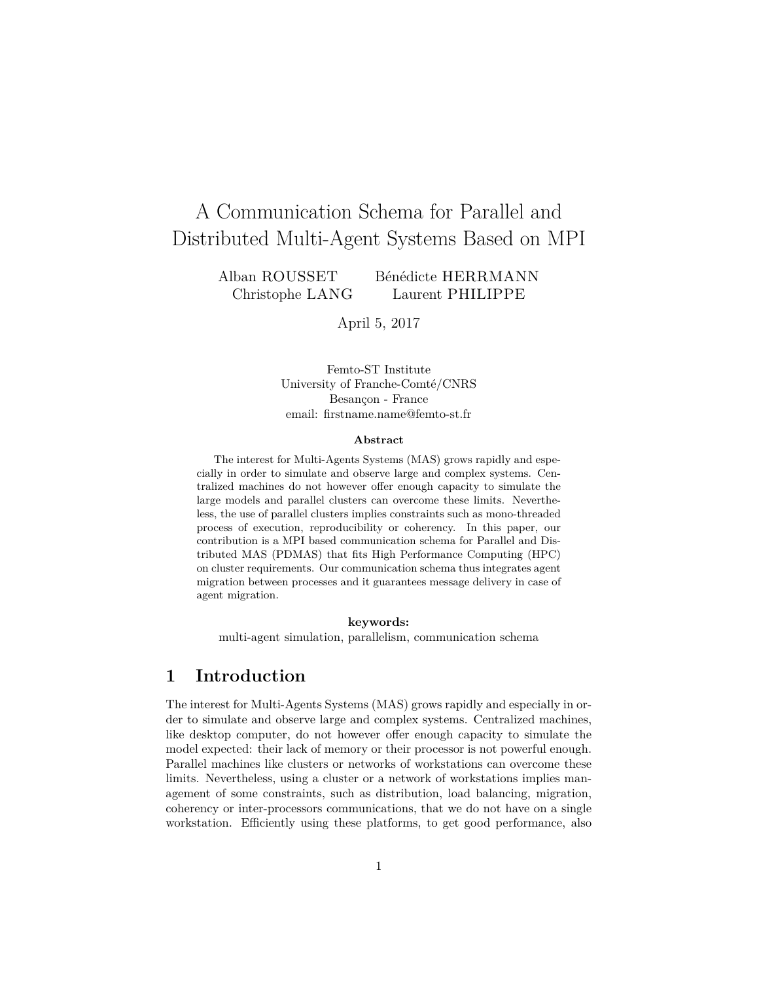# A Communication Schema for Parallel and Distributed Multi-Agent Systems Based on MPI

Alban ROUSSET Bénédicte HERRMANN Christophe LANG Laurent PHILIPPE

April 5, 2017

Femto-ST Institute University of Franche-Comté/CNRS Besançon - France email: firstname.name@femto-st.fr

#### **Abstract**

The interest for Multi-Agents Systems (MAS) grows rapidly and especially in order to simulate and observe large and complex systems. Centralized machines do not however offer enough capacity to simulate the large models and parallel clusters can overcome these limits. Nevertheless, the use of parallel clusters implies constraints such as mono-threaded process of execution, reproducibility or coherency. In this paper, our contribution is a MPI based communication schema for Parallel and Distributed MAS (PDMAS) that fits High Performance Computing (HPC) on cluster requirements. Our communication schema thus integrates agent migration between processes and it guarantees message delivery in case of agent migration.

#### **keywords:**

multi-agent simulation, parallelism, communication schema

## **1 Introduction**

The interest for Multi-Agents Systems (MAS) grows rapidly and especially in order to simulate and observe large and complex systems. Centralized machines, like desktop computer, do not however offer enough capacity to simulate the model expected: their lack of memory or their processor is not powerful enough. Parallel machines like clusters or networks of workstations can overcome these limits. Nevertheless, using a cluster or a network of workstations implies management of some constraints, such as distribution, load balancing, migration, coherency or inter-processors communications, that we do not have on a single workstation. Efficiently using these platforms, to get good performance, also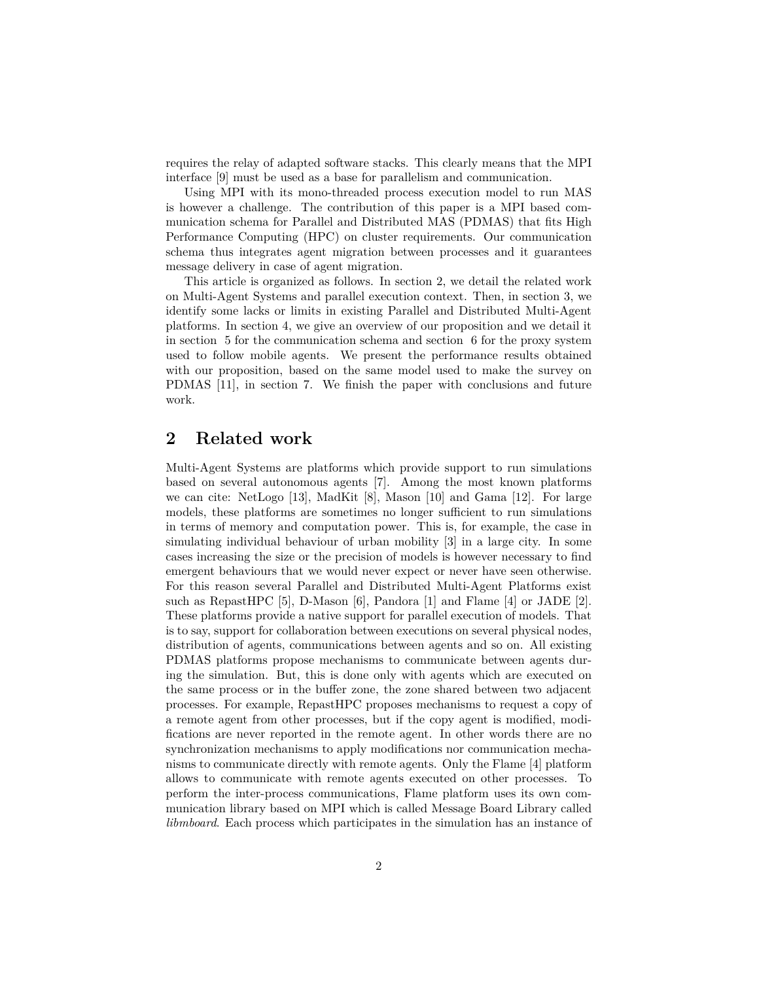requires the relay of adapted software stacks. This clearly means that the MPI interface [9] must be used as a base for parallelism and communication.

Using MPI with its mono-threaded process execution model to run MAS is however a challenge. The contribution of this paper is a MPI based communication schema for Parallel and Distributed MAS (PDMAS) that fits High Performance Computing (HPC) on cluster requirements. Our communication schema thus integrates agent migration between processes and it guarantees message delivery in case of agent migration.

This article is organized as follows. In section 2, we detail the related work on Multi-Agent Systems and parallel execution context. Then, in section 3, we identify some lacks or limits in existing Parallel and Distributed Multi-Agent platforms. In section 4, we give an overview of our proposition and we detail it in section 5 for the communication schema and section 6 for the proxy system used to follow mobile agents. We present the performance results obtained with our proposition, based on the same model used to make the survey on PDMAS [11], in section 7. We finish the paper with conclusions and future work.

#### **2 Related work**

Multi-Agent Systems are platforms which provide support to run simulations based on several autonomous agents [7]. Among the most known platforms we can cite: NetLogo [13], MadKit [8], Mason [10] and Gama [12]. For large models, these platforms are sometimes no longer sufficient to run simulations in terms of memory and computation power. This is, for example, the case in simulating individual behaviour of urban mobility [3] in a large city. In some cases increasing the size or the precision of models is however necessary to find emergent behaviours that we would never expect or never have seen otherwise. For this reason several Parallel and Distributed Multi-Agent Platforms exist such as RepastHPC  $[5]$ , D-Mason  $[6]$ , Pandora  $[1]$  and Flame  $[4]$  or JADE  $[2]$ . These platforms provide a native support for parallel execution of models. That is to say, support for collaboration between executions on several physical nodes, distribution of agents, communications between agents and so on. All existing PDMAS platforms propose mechanisms to communicate between agents during the simulation. But, this is done only with agents which are executed on the same process or in the buffer zone, the zone shared between two adjacent processes. For example, RepastHPC proposes mechanisms to request a copy of a remote agent from other processes, but if the copy agent is modified, modifications are never reported in the remote agent. In other words there are no synchronization mechanisms to apply modifications nor communication mechanisms to communicate directly with remote agents. Only the Flame [4] platform allows to communicate with remote agents executed on other processes. To perform the inter-process communications, Flame platform uses its own communication library based on MPI which is called Message Board Library called *libmboard*. Each process which participates in the simulation has an instance of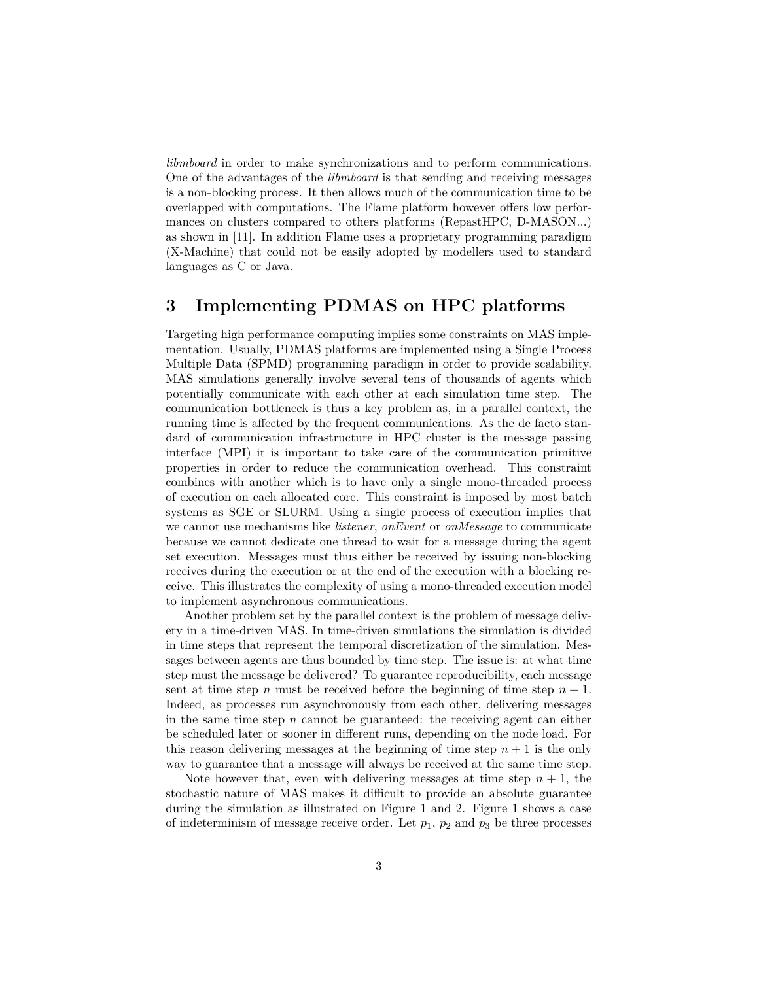*libmboard* in order to make synchronizations and to perform communications. One of the advantages of the *libmboard* is that sending and receiving messages is a non-blocking process. It then allows much of the communication time to be overlapped with computations. The Flame platform however offers low performances on clusters compared to others platforms (RepastHPC, D-MASON...) as shown in [11]. In addition Flame uses a proprietary programming paradigm (X-Machine) that could not be easily adopted by modellers used to standard languages as C or Java.

## **3 Implementing PDMAS on HPC platforms**

Targeting high performance computing implies some constraints on MAS implementation. Usually, PDMAS platforms are implemented using a Single Process Multiple Data (SPMD) programming paradigm in order to provide scalability. MAS simulations generally involve several tens of thousands of agents which potentially communicate with each other at each simulation time step. The communication bottleneck is thus a key problem as, in a parallel context, the running time is affected by the frequent communications. As the de facto standard of communication infrastructure in HPC cluster is the message passing interface (MPI) it is important to take care of the communication primitive properties in order to reduce the communication overhead. This constraint combines with another which is to have only a single mono-threaded process of execution on each allocated core. This constraint is imposed by most batch systems as SGE or SLURM. Using a single process of execution implies that we cannot use mechanisms like *listener*, *onEvent* or *onMessage* to communicate because we cannot dedicate one thread to wait for a message during the agent set execution. Messages must thus either be received by issuing non-blocking receives during the execution or at the end of the execution with a blocking receive. This illustrates the complexity of using a mono-threaded execution model to implement asynchronous communications.

Another problem set by the parallel context is the problem of message delivery in a time-driven MAS. In time-driven simulations the simulation is divided in time steps that represent the temporal discretization of the simulation. Messages between agents are thus bounded by time step. The issue is: at what time step must the message be delivered? To guarantee reproducibility, each message sent at time step *n* must be received before the beginning of time step  $n + 1$ . Indeed, as processes run asynchronously from each other, delivering messages in the same time step  $n$  cannot be guaranteed: the receiving agent can either be scheduled later or sooner in different runs, depending on the node load. For this reason delivering messages at the beginning of time step  $n+1$  is the only way to guarantee that a message will always be received at the same time step.

Note however that, even with delivering messages at time step  $n + 1$ , the stochastic nature of MAS makes it difficult to provide an absolute guarantee during the simulation as illustrated on Figure 1 and 2. Figure 1 shows a case of indeterminism of message receive order. Let  $p_1$ ,  $p_2$  and  $p_3$  be three processes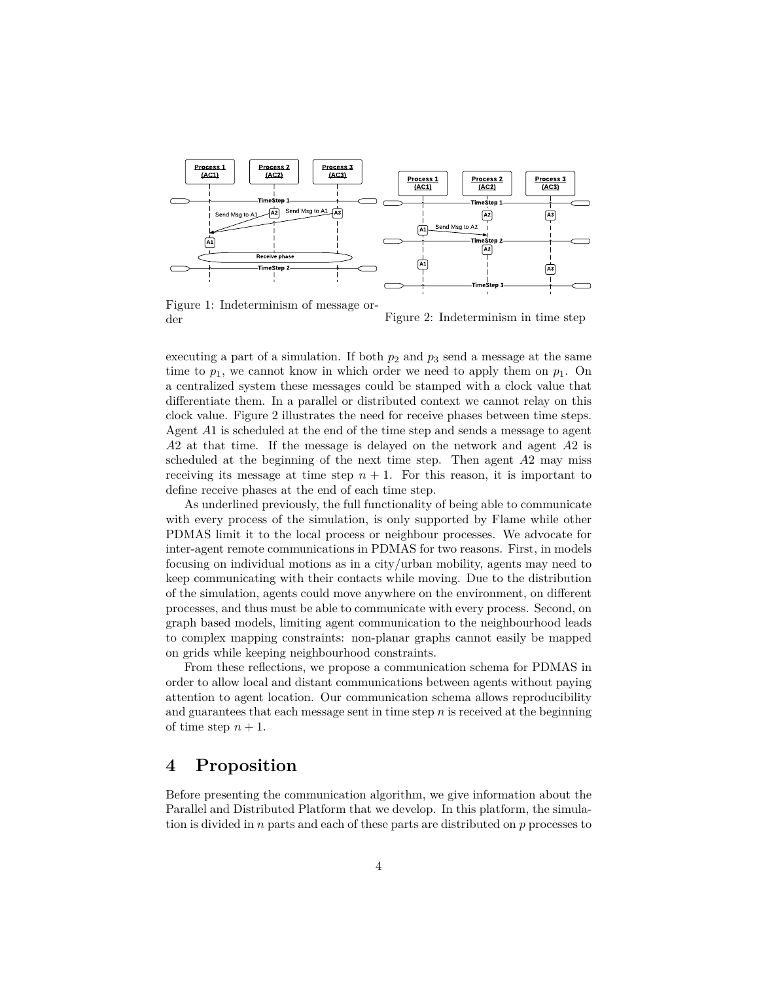

Figure 1: Indeterminism of message order Figure 2: Indeterminism in time step

executing a part of a simulation. If both  $p_2$  and  $p_3$  send a message at the same time to  $p_1$ , we cannot know in which order we need to apply them on  $p_1$ . On a centralized system these messages could be stamped with a clock value that differentiate them. In a parallel or distributed context we cannot relay on this clock value. Figure 2 illustrates the need for receive phases between time steps. Agent *A*1 is scheduled at the end of the time step and sends a message to agent *A*2 at that time. If the message is delayed on the network and agent *A*2 is scheduled at the beginning of the next time step. Then agent *A*2 may miss receiving its message at time step  $n + 1$ . For this reason, it is important to define receive phases at the end of each time step.

As underlined previously, the full functionality of being able to communicate with every process of the simulation, is only supported by Flame while other PDMAS limit it to the local process or neighbour processes. We advocate for inter-agent remote communications in PDMAS for two reasons. First, in models focusing on individual motions as in a city/urban mobility, agents may need to keep communicating with their contacts while moving. Due to the distribution of the simulation, agents could move anywhere on the environment, on different processes, and thus must be able to communicate with every process. Second, on graph based models, limiting agent communication to the neighbourhood leads to complex mapping constraints: non-planar graphs cannot easily be mapped on grids while keeping neighbourhood constraints.

From these reflections, we propose a communication schema for PDMAS in order to allow local and distant communications between agents without paying attention to agent location. Our communication schema allows reproducibility and guarantees that each message sent in time step *n* is received at the beginning of time step  $n + 1$ .

#### **4 Proposition**

Before presenting the communication algorithm, we give information about the Parallel and Distributed Platform that we develop. In this platform, the simulation is divided in *n* parts and each of these parts are distributed on *p* processes to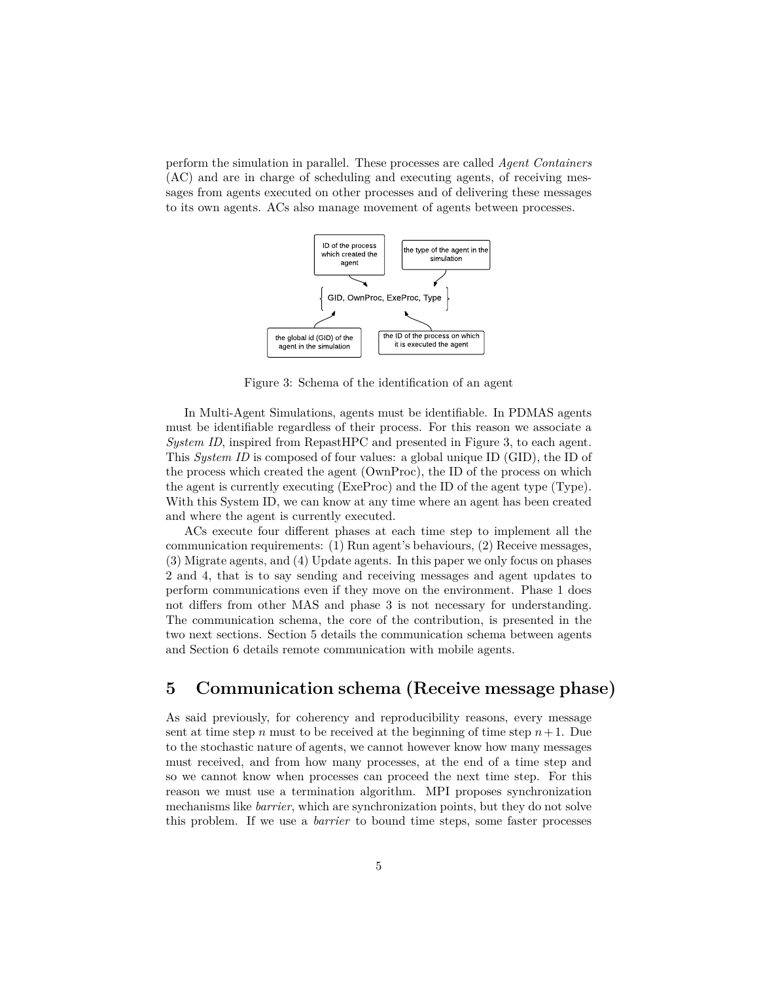perform the simulation in parallel. These processes are called *Agent Containers* (AC) and are in charge of scheduling and executing agents, of receiving messages from agents executed on other processes and of delivering these messages to its own agents. ACs also manage movement of agents between processes.



Figure 3: Schema of the identification of an agent

In Multi-Agent Simulations, agents must be identifiable. In PDMAS agents must be identifiable regardless of their process. For this reason we associate a *System ID*, inspired from RepastHPC and presented in Figure 3, to each agent. This *System ID* is composed of four values: a global unique ID (GID), the ID of the process which created the agent (OwnProc), the ID of the process on which the agent is currently executing (ExeProc) and the ID of the agent type (Type). With this System ID, we can know at any time where an agent has been created and where the agent is currently executed.

ACs execute four different phases at each time step to implement all the communication requirements: (1) Run agent's behaviours, (2) Receive messages, (3) Migrate agents, and (4) Update agents. In this paper we only focus on phases 2 and 4, that is to say sending and receiving messages and agent updates to perform communications even if they move on the environment. Phase 1 does not differs from other MAS and phase 3 is not necessary for understanding. The communication schema, the core of the contribution, is presented in the two next sections. Section 5 details the communication schema between agents and Section 6 details remote communication with mobile agents.

## **5 Communication schema (Receive message phase)**

As said previously, for coherency and reproducibility reasons, every message sent at time step *n* must to be received at the beginning of time step  $n + 1$ . Due to the stochastic nature of agents, we cannot however know how many messages must received, and from how many processes, at the end of a time step and so we cannot know when processes can proceed the next time step. For this reason we must use a termination algorithm. MPI proposes synchronization mechanisms like *barrier*, which are synchronization points, but they do not solve this problem. If we use a *barrier* to bound time steps, some faster processes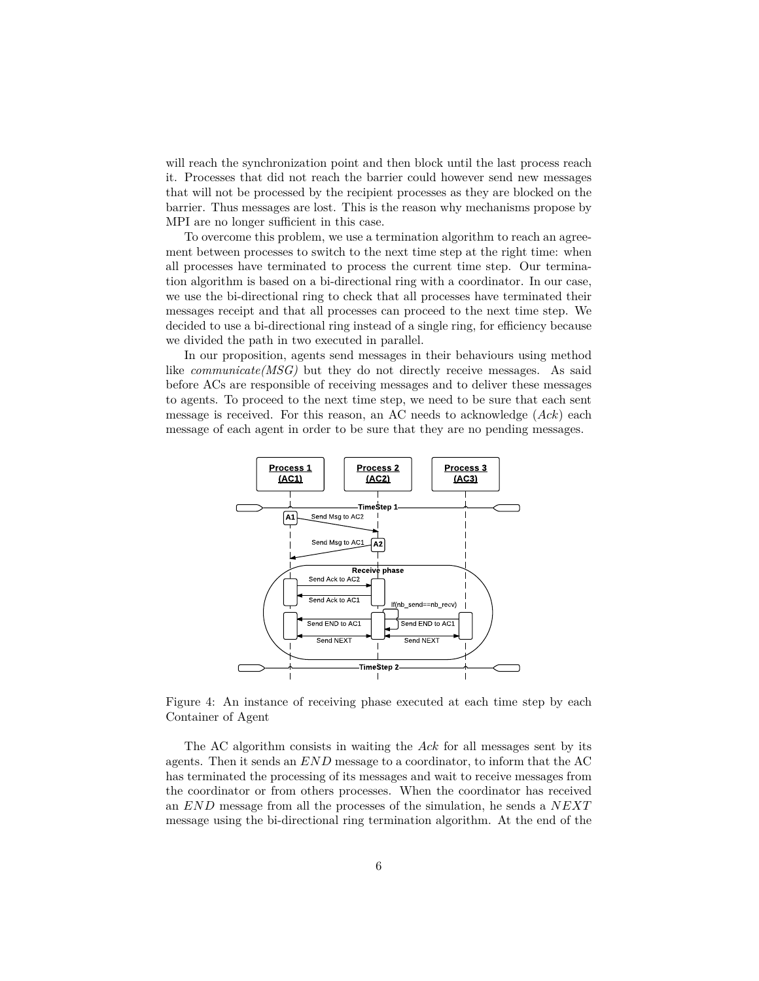will reach the synchronization point and then block until the last process reach it. Processes that did not reach the barrier could however send new messages that will not be processed by the recipient processes as they are blocked on the barrier. Thus messages are lost. This is the reason why mechanisms propose by MPI are no longer sufficient in this case.

To overcome this problem, we use a termination algorithm to reach an agreement between processes to switch to the next time step at the right time: when all processes have terminated to process the current time step. Our termination algorithm is based on a bi-directional ring with a coordinator. In our case, we use the bi-directional ring to check that all processes have terminated their messages receipt and that all processes can proceed to the next time step. We decided to use a bi-directional ring instead of a single ring, for efficiency because we divided the path in two executed in parallel.

In our proposition, agents send messages in their behaviours using method like *communicate(MSG)* but they do not directly receive messages. As said before ACs are responsible of receiving messages and to deliver these messages to agents. To proceed to the next time step, we need to be sure that each sent message is received. For this reason, an AC needs to acknowledge (*Ack*) each message of each agent in order to be sure that they are no pending messages.



Figure 4: An instance of receiving phase executed at each time step by each Container of Agent

The AC algorithm consists in waiting the *Ack* for all messages sent by its agents. Then it sends an *END* message to a coordinator, to inform that the AC has terminated the processing of its messages and wait to receive messages from the coordinator or from others processes. When the coordinator has received an *END* message from all the processes of the simulation, he sends a *NEXT* message using the bi-directional ring termination algorithm. At the end of the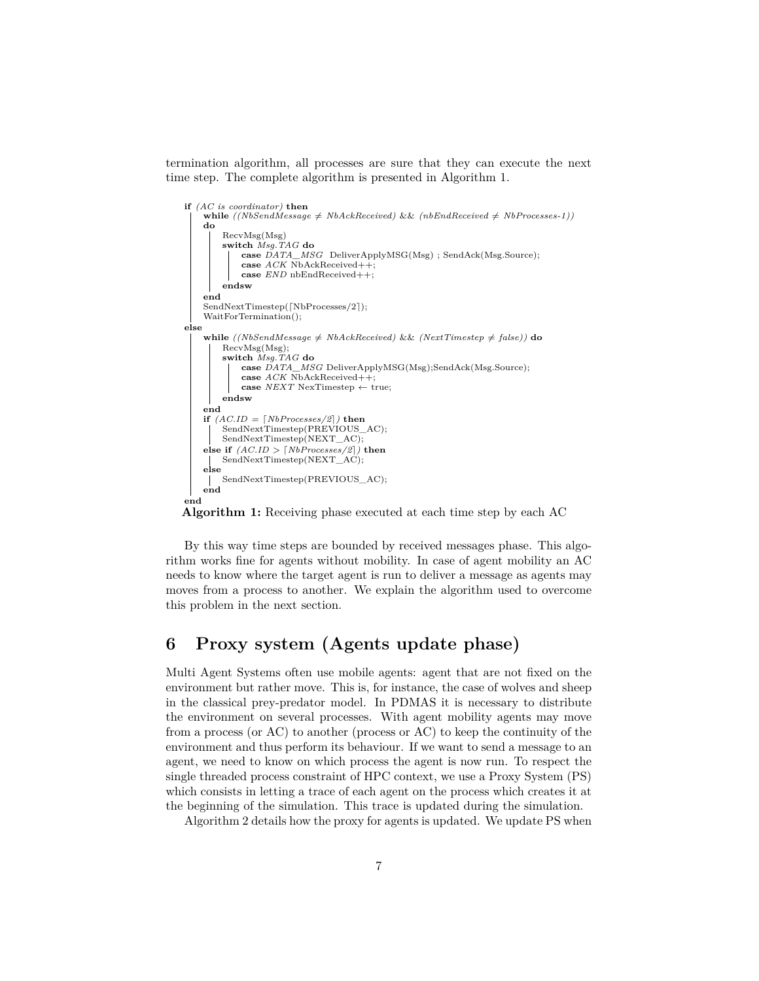termination algorithm, all processes are sure that they can execute the next time step. The complete algorithm is presented in Algorithm 1.



By this way time steps are bounded by received messages phase. This algorithm works fine for agents without mobility. In case of agent mobility an AC needs to know where the target agent is run to deliver a message as agents may moves from a process to another. We explain the algorithm used to overcome this problem in the next section.

# **6 Proxy system (Agents update phase)**

Multi Agent Systems often use mobile agents: agent that are not fixed on the environment but rather move. This is, for instance, the case of wolves and sheep in the classical prey-predator model. In PDMAS it is necessary to distribute the environment on several processes. With agent mobility agents may move from a process (or AC) to another (process or AC) to keep the continuity of the environment and thus perform its behaviour. If we want to send a message to an agent, we need to know on which process the agent is now run. To respect the single threaded process constraint of HPC context, we use a Proxy System (PS) which consists in letting a trace of each agent on the process which creates it at the beginning of the simulation. This trace is updated during the simulation.

Algorithm 2 details how the proxy for agents is updated. We update PS when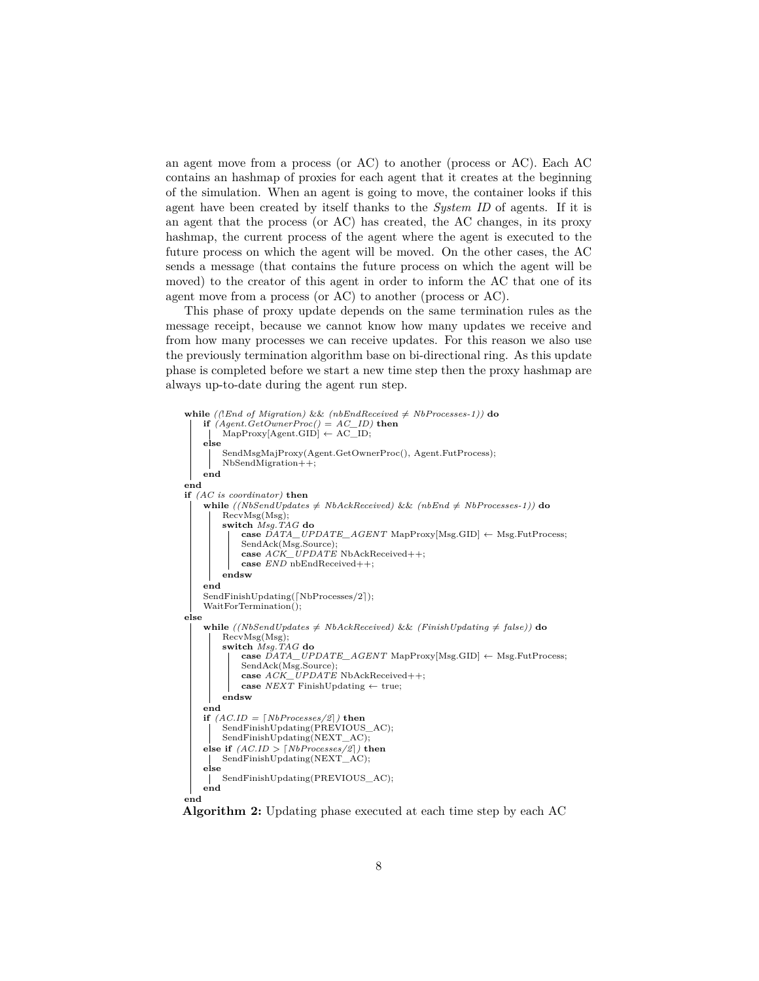an agent move from a process (or AC) to another (process or AC). Each AC contains an hashmap of proxies for each agent that it creates at the beginning of the simulation. When an agent is going to move, the container looks if this agent have been created by itself thanks to the *System ID* of agents. If it is an agent that the process (or AC) has created, the AC changes, in its proxy hashmap, the current process of the agent where the agent is executed to the future process on which the agent will be moved. On the other cases, the AC sends a message (that contains the future process on which the agent will be moved) to the creator of this agent in order to inform the AC that one of its agent move from a process (or AC) to another (process or AC).

This phase of proxy update depends on the same termination rules as the message receipt, because we cannot know how many updates we receive and from how many processes we can receive updates. For this reason we also use the previously termination algorithm base on bi-directional ring. As this update phase is completed before we start a new time step then the proxy hashmap are always up-to-date during the agent run step.

```
\textbf{while } ((!End\ of\ Migration)\ \&\&\ (nbEndReceived\neq NbProcesses-1))\ \textbf{do}if (Agent.GetOwnerProc() = AC_ID) then
        MapProxy[Agent.GID] \leftarrow AC_\text{ID};else
        SendMsgMajProxy(Agent.GetOwnerProc(), Agent.FutProcess);
        NbSendMigration++;
    end
end
if (AC is coordinator) then
    \textbf{while } ((NbSendUpdate \neq NbAcknowled) \&\& (nbEnd \neq NbProcesses-1)) \textbf{do}RecvMsg(Msg);
         switch Msg.TAG do
case DATA_UPDATE_AGENT MapProxy[Msg.GID] ← Msg.FutProcess;
            SendAck(Msg.Source);
            case ACK_UPDATE NbAckReceived++;
            case END nbEndReceived++;
        endsw
    end
    SendFinishUp dating([NbProcesses/2]);WaitForTermination();
else
    \textbf{while } ((NbSendUp dates \neq NbAcknowled) \&\&~ (FinishUp dating \neq false)) \textbf{do}RecvMsg(Msg);
        switch Msg.TAG do
             case DATA_UPDATE_AGENT MapProxy[Msg.GID] ← Msg.FutProcess;
            SendAck(Msg.Source);
             case ACK_UPDATE NbAckReceived++;
case NEXT FinishUpdating ← true;
        endsw
    end
    if (AC.ID = [NbProcesses/2]) then
        SendFinishUpdating(PREVIOUS_AC);
        SendFinishUpdating(NEXT_AC);
    else if (AC.ID > [NbProcesses/2]) then
        SendFinishUpdating(NEXT_AC);
    else
        SendFinishUpdating(PREVIOUS_AC);
    end
end
```
**Algorithm 2:** Updating phase executed at each time step by each AC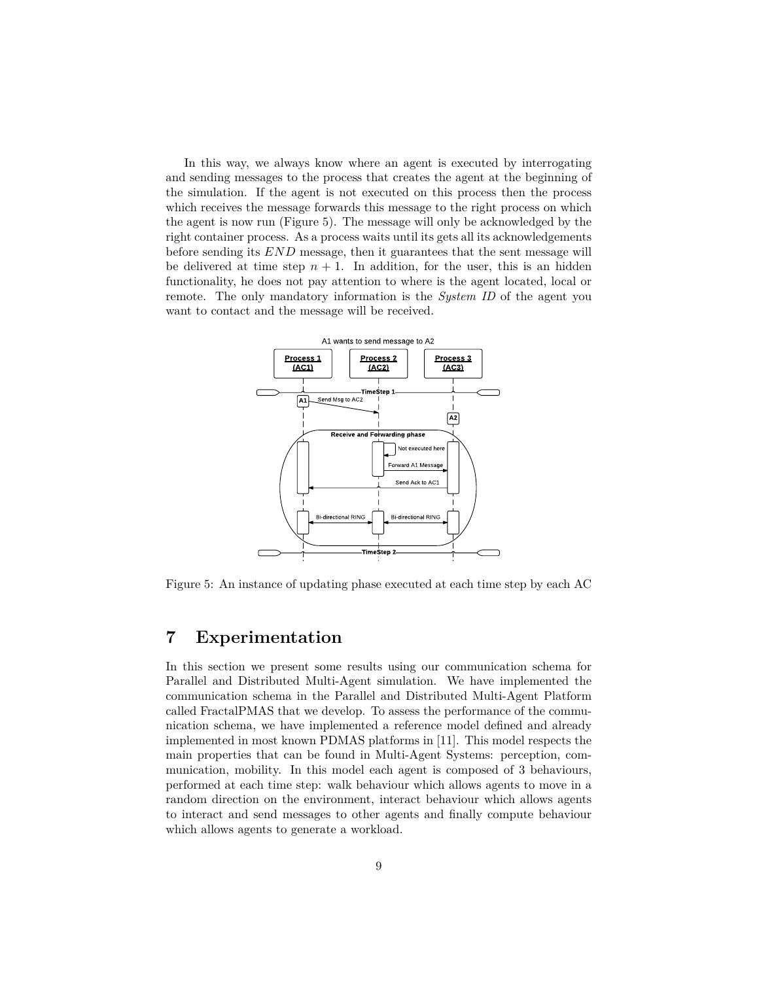In this way, we always know where an agent is executed by interrogating and sending messages to the process that creates the agent at the beginning of the simulation. If the agent is not executed on this process then the process which receives the message forwards this message to the right process on which the agent is now run (Figure 5). The message will only be acknowledged by the right container process. As a process waits until its gets all its acknowledgements before sending its *END* message, then it guarantees that the sent message will be delivered at time step  $n + 1$ . In addition, for the user, this is an hidden functionality, he does not pay attention to where is the agent located, local or remote. The only mandatory information is the *System ID* of the agent you want to contact and the message will be received.



Figure 5: An instance of updating phase executed at each time step by each AC

#### **7 Experimentation**

In this section we present some results using our communication schema for Parallel and Distributed Multi-Agent simulation. We have implemented the communication schema in the Parallel and Distributed Multi-Agent Platform called FractalPMAS that we develop. To assess the performance of the communication schema, we have implemented a reference model defined and already implemented in most known PDMAS platforms in [11]. This model respects the main properties that can be found in Multi-Agent Systems: perception, communication, mobility. In this model each agent is composed of 3 behaviours, performed at each time step: walk behaviour which allows agents to move in a random direction on the environment, interact behaviour which allows agents to interact and send messages to other agents and finally compute behaviour which allows agents to generate a workload.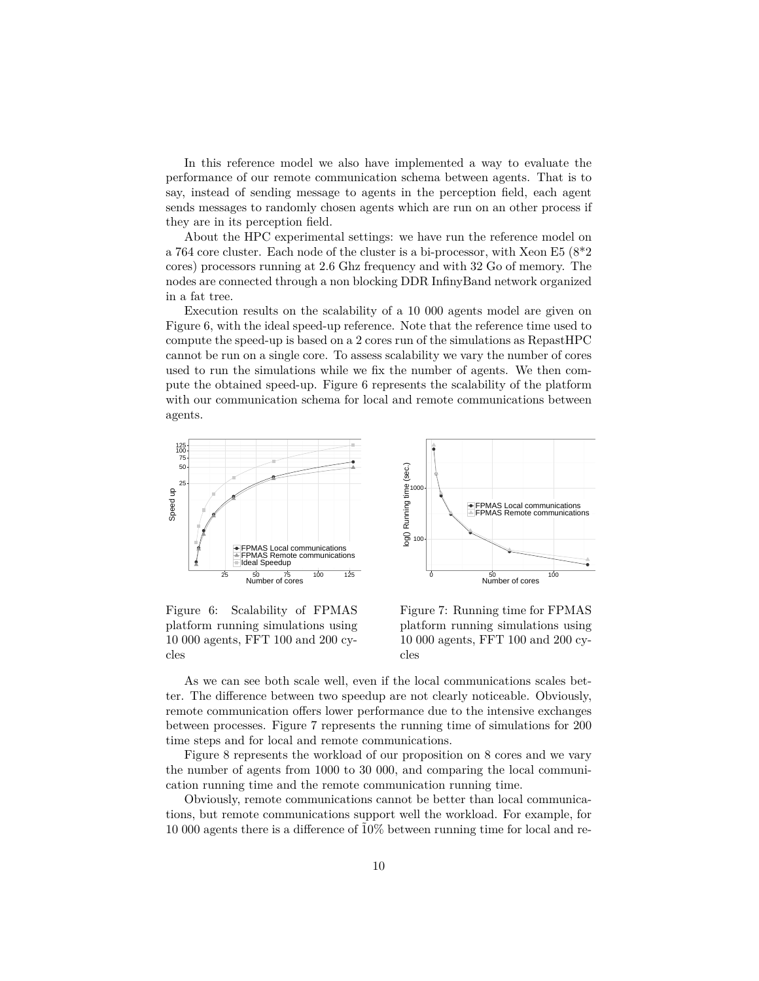In this reference model we also have implemented a way to evaluate the performance of our remote communication schema between agents. That is to say, instead of sending message to agents in the perception field, each agent sends messages to randomly chosen agents which are run on an other process if they are in its perception field.

About the HPC experimental settings: we have run the reference model on a 764 core cluster. Each node of the cluster is a bi-processor, with Xeon E5 (8\*2 cores) processors running at 2.6 Ghz frequency and with 32 Go of memory. The nodes are connected through a non blocking DDR InfinyBand network organized in a fat tree.

Execution results on the scalability of a 10 000 agents model are given on Figure 6, with the ideal speed-up reference. Note that the reference time used to compute the speed-up is based on a 2 cores run of the simulations as RepastHPC cannot be run on a single core. To assess scalability we vary the number of cores used to run the simulations while we fix the number of agents. We then compute the obtained speed-up. Figure 6 represents the scalability of the platform with our communication schema for local and remote communications between agents.



Figure 6: Scalability of FPMAS platform running simulations using 10 000 agents, FFT 100 and 200 cycles

Figure 7: Running time for FPMAS platform running simulations using 10 000 agents, FFT 100 and 200 cycles

As we can see both scale well, even if the local communications scales better. The difference between two speedup are not clearly noticeable. Obviously, remote communication offers lower performance due to the intensive exchanges between processes. Figure 7 represents the running time of simulations for 200 time steps and for local and remote communications.

Figure 8 represents the workload of our proposition on 8 cores and we vary the number of agents from 1000 to 30 000, and comparing the local communication running time and the remote communication running time.

Obviously, remote communications cannot be better than local communications, but remote communications support well the workload. For example, for 10 000 agents there is a difference of  $10\%$  between running time for local and re-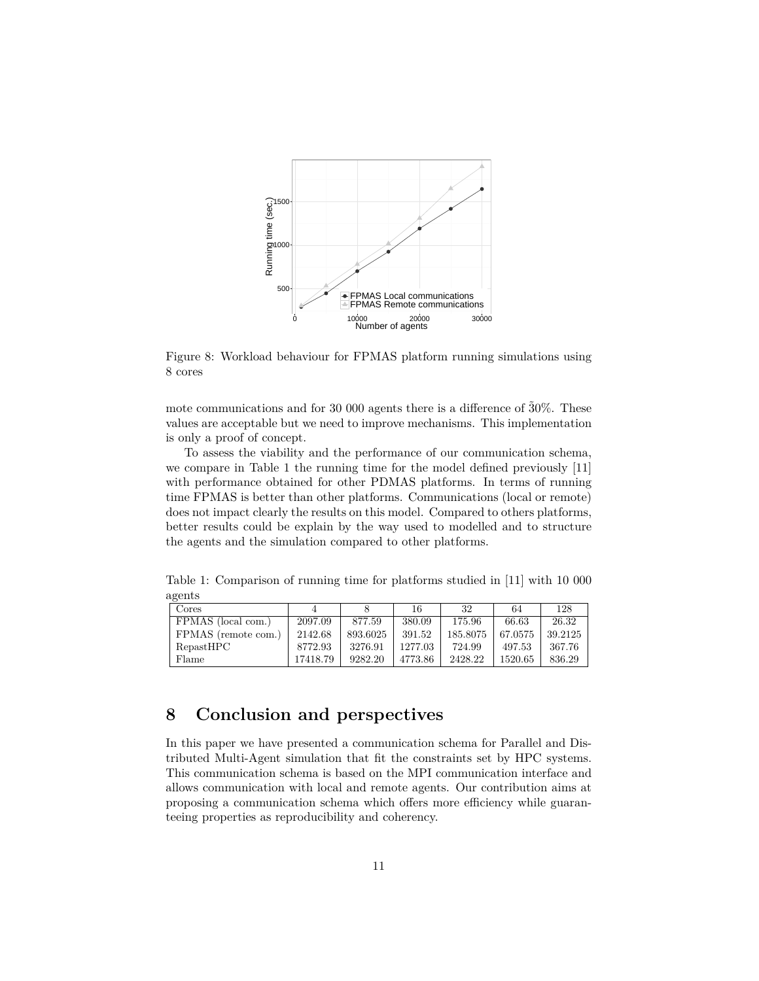

Figure 8: Workload behaviour for FPMAS platform running simulations using 8 cores

mote communications and for 30 000 agents there is a difference of  $\tilde{30}\%$ . These values are acceptable but we need to improve mechanisms. This implementation is only a proof of concept.

To assess the viability and the performance of our communication schema, we compare in Table 1 the running time for the model defined previously [11] with performance obtained for other PDMAS platforms. In terms of running time FPMAS is better than other platforms. Communications (local or remote) does not impact clearly the results on this model. Compared to others platforms, better results could be explain by the way used to modelled and to structure the agents and the simulation compared to other platforms.

Table 1: Comparison of running time for platforms studied in [11] with 10 000 agents

| Cores               |          |          | 16      | 32       | 64      | 128     |
|---------------------|----------|----------|---------|----------|---------|---------|
| FPMAS (local com.)  | 2097.09  | 877.59   | 380.09  | 175.96   | 66.63   | 26.32   |
| FPMAS (remote com.) | 2142.68  | 893.6025 | 391.52  | 185.8075 | 67.0575 | 39.2125 |
| RepastHPC           | 8772.93  | 3276.91  | 1277.03 | 724.99   | 497.53  | 367.76  |
| Flame               | 17418.79 | 9282.20  | 4773.86 | 2428.22  | 1520.65 | 836.29  |

# **8 Conclusion and perspectives**

In this paper we have presented a communication schema for Parallel and Distributed Multi-Agent simulation that fit the constraints set by HPC systems. This communication schema is based on the MPI communication interface and allows communication with local and remote agents. Our contribution aims at proposing a communication schema which offers more efficiency while guaranteeing properties as reproducibility and coherency.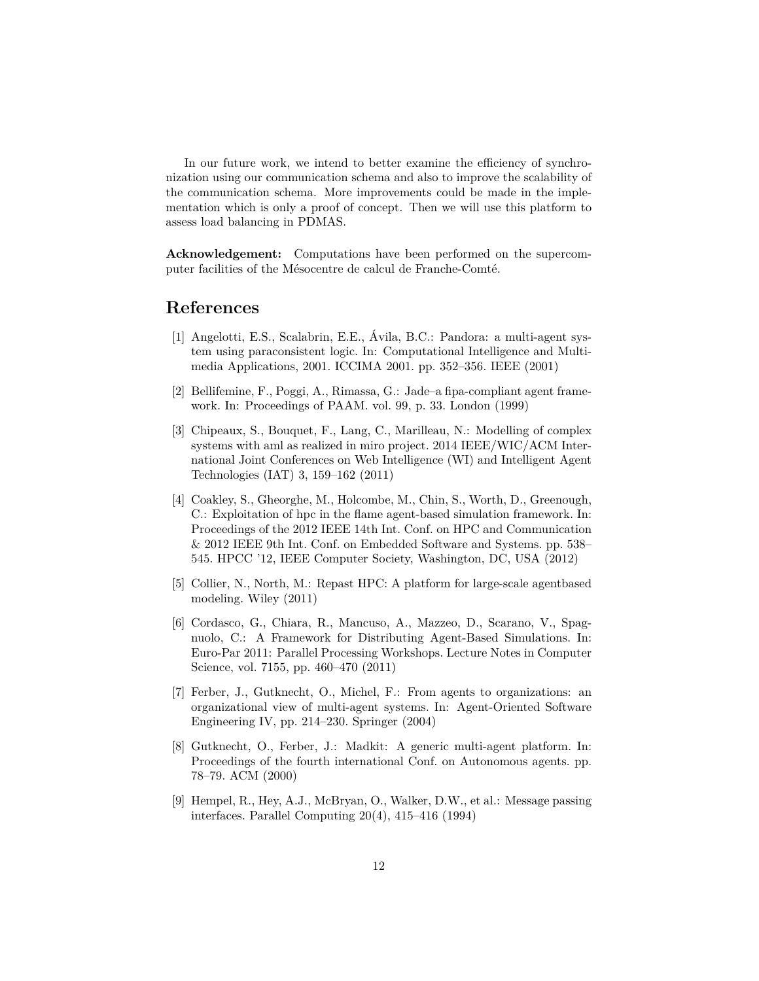In our future work, we intend to better examine the efficiency of synchronization using our communication schema and also to improve the scalability of the communication schema. More improvements could be made in the implementation which is only a proof of concept. Then we will use this platform to assess load balancing in PDMAS.

**Acknowledgement:** Computations have been performed on the supercomputer facilities of the Mésocentre de calcul de Franche-Comté.

### **References**

- [1] Angelotti, E.S., Scalabrin, E.E., Ávila, B.C.: Pandora: a multi-agent system using paraconsistent logic. In: Computational Intelligence and Multimedia Applications, 2001. ICCIMA 2001. pp. 352–356. IEEE (2001)
- [2] Bellifemine, F., Poggi, A., Rimassa, G.: Jade–a fipa-compliant agent framework. In: Proceedings of PAAM. vol. 99, p. 33. London (1999)
- [3] Chipeaux, S., Bouquet, F., Lang, C., Marilleau, N.: Modelling of complex systems with aml as realized in miro project. 2014 IEEE/WIC/ACM International Joint Conferences on Web Intelligence (WI) and Intelligent Agent Technologies (IAT) 3, 159–162 (2011)
- [4] Coakley, S., Gheorghe, M., Holcombe, M., Chin, S., Worth, D., Greenough, C.: Exploitation of hpc in the flame agent-based simulation framework. In: Proceedings of the 2012 IEEE 14th Int. Conf. on HPC and Communication & 2012 IEEE 9th Int. Conf. on Embedded Software and Systems. pp. 538– 545. HPCC '12, IEEE Computer Society, Washington, DC, USA (2012)
- [5] Collier, N., North, M.: Repast HPC: A platform for large-scale agentbased modeling. Wiley (2011)
- [6] Cordasco, G., Chiara, R., Mancuso, A., Mazzeo, D., Scarano, V., Spagnuolo, C.: A Framework for Distributing Agent-Based Simulations. In: Euro-Par 2011: Parallel Processing Workshops. Lecture Notes in Computer Science, vol. 7155, pp. 460–470 (2011)
- [7] Ferber, J., Gutknecht, O., Michel, F.: From agents to organizations: an organizational view of multi-agent systems. In: Agent-Oriented Software Engineering IV, pp. 214–230. Springer (2004)
- [8] Gutknecht, O., Ferber, J.: Madkit: A generic multi-agent platform. In: Proceedings of the fourth international Conf. on Autonomous agents. pp. 78–79. ACM (2000)
- [9] Hempel, R., Hey, A.J., McBryan, O., Walker, D.W., et al.: Message passing interfaces. Parallel Computing 20(4), 415–416 (1994)